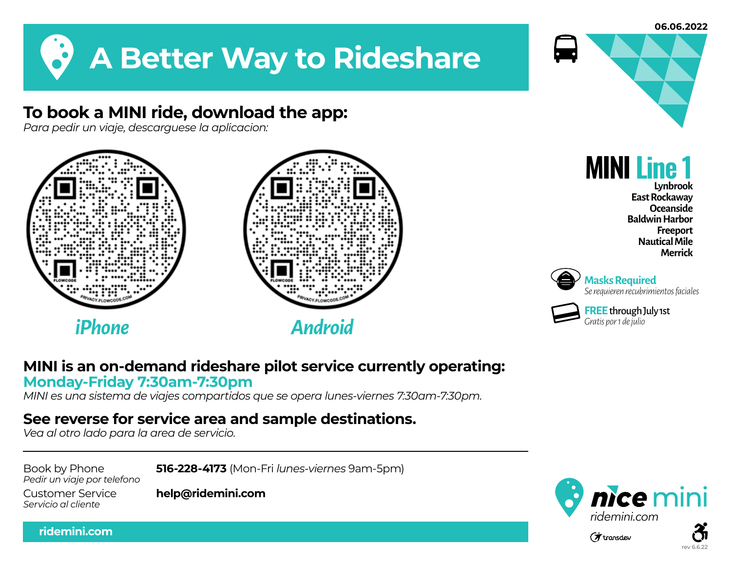

## **To book a MINI ride, download the app:**

*Para pedir un viaje, descarguese la aplicacion:*





## **MINI is an on-demand rideshare pilot service currently operating: Monday-Friday 7:30am-7:30pm**

*MINI es una sistema de viajes compartidos que se opera lunes-viernes 7:30am-7:30pm.* 

## **See reverse for service area and sample destinations.**

*Vea al otro lado para la area de servicio.*

*Pedir un viaje por telefono*

Book by Phone **516-228-4173** (Mon-Fri *lunes-viernes* 9am-5pm)

*Servicio al cliente*

**ridemini.com**

Customer Service **help@ridemini.com**



**MINI Line 1**

**Lynbrook East Rockaway Oceanside Baldwin Harbor Freeport Nautical Mile Merrick**



**Masks Required** *Se requieren recubrimientos faciales*

**FREE**through July 1st *Gratis por 1 de julio*



rev 6.6.22